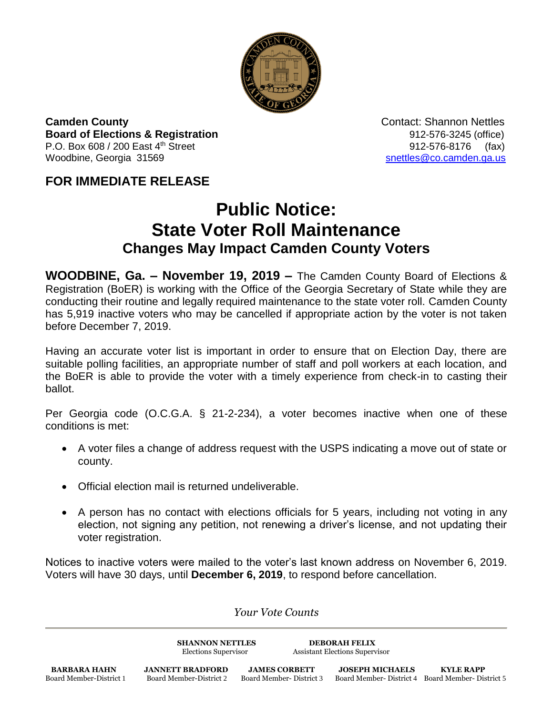

**Camden County Contact: Shannon Nettles Board of Elections & Registration** 8. **Board of Elections & Registration** P.O. Box 608 / 200 East 4<sup>th</sup> Street 912-576-8176 (fax) Woodbine, Georgia 31569 [snettles@co.camden.ga.us](mailto:snettles@co.camden.ga.us)

## **FOR IMMEDIATE RELEASE**

## **Public Notice: State Voter Roll Maintenance Changes May Impact Camden County Voters**

**WOODBINE, Ga. – November 19, 2019 –** The Camden County Board of Elections & Registration (BoER) is working with the Office of the Georgia Secretary of State while they are conducting their routine and legally required maintenance to the state voter roll. Camden County has 5,919 inactive voters who may be cancelled if appropriate action by the voter is not taken before December 7, 2019.

Having an accurate voter list is important in order to ensure that on Election Day, there are suitable polling facilities, an appropriate number of staff and poll workers at each location, and the BoER is able to provide the voter with a timely experience from check-in to casting their ballot.

Per Georgia code (O.C.G.A. § 21-2-234), a voter becomes inactive when one of these conditions is met:

- A voter files a change of address request with the USPS indicating a move out of state or county.
- Official election mail is returned undeliverable.
- A person has no contact with elections officials for 5 years, including not voting in any election, not signing any petition, not renewing a driver's license, and not updating their voter registration.

Notices to inactive voters were mailed to the voter's last known address on November 6, 2019. Voters will have 30 days, until **December 6, 2019**, to respond before cancellation.

*Your Vote Counts*

**SHANNON NETTLES DEBORAH FELIX** Elections Supervisor Assistant Elections Supervisor

**BARBARA HAHN JANNETT BRADFORD JAMES CORBETT JOSEPH MICHAELS KYLE RAPP**<br>Board Member-District 1 Board Member-District 2 Board Member-District 3 Board Member-District 4 Board Member-Dis Board Member-District 4 Board Member- District 5